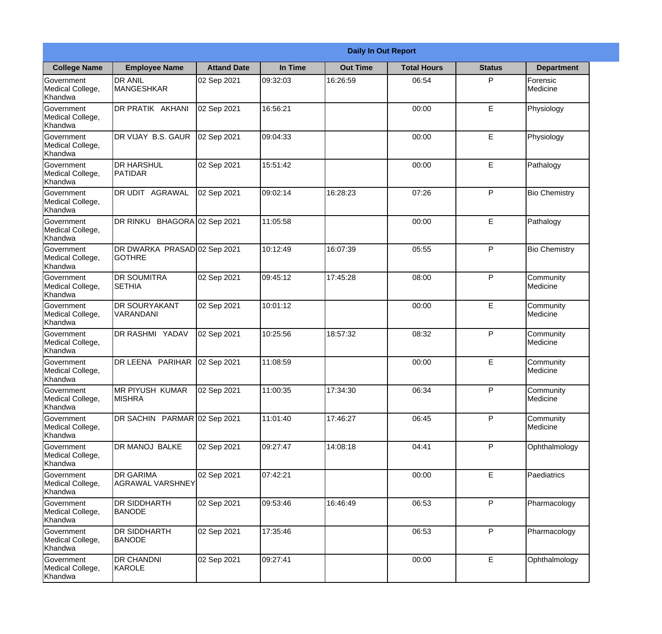|                                                  | <b>Daily In Out Report</b>                    |                     |          |                 |                    |               |                       |  |
|--------------------------------------------------|-----------------------------------------------|---------------------|----------|-----------------|--------------------|---------------|-----------------------|--|
| <b>College Name</b>                              | <b>Employee Name</b>                          | <b>Attand Date</b>  | In Time  | <b>Out Time</b> | <b>Total Hours</b> | <b>Status</b> | <b>Department</b>     |  |
| Government<br>Medical College,<br>Khandwa        | <b>DR ANIL</b><br><b>MANGESHKAR</b>           | 02 Sep 2021         | 09:32:03 | 16:26:59        | 06:54              | P             | Forensic<br>Medicine  |  |
| Government<br>Medical College,<br>Khandwa        | DR PRATIK AKHANI                              | 02 Sep 2021         | 16:56:21 |                 | 00:00              | E             | Physiology            |  |
| <b>Government</b><br>Medical College,<br>Khandwa | DR VIJAY B.S. GAUR                            | 02 Sep 2021         | 09:04:33 |                 | 00:00              | E             | Physiology            |  |
| Government<br>Medical College,<br>Khandwa        | <b>DR HARSHUL</b><br>PATIDAR                  | 02 Sep 2021         | 15:51:42 |                 | 00:00              | E             | Pathalogy             |  |
| <b>Government</b><br>Medical College,<br>Khandwa | <b>DR UDIT AGRAWAL</b>                        | 02 Sep 2021         | 09:02:14 | 16:28:23        | 07:26              | P             | <b>Bio Chemistry</b>  |  |
| Government<br>Medical College,<br>Khandwa        | DR RINKU                                      | BHAGORA 02 Sep 2021 | 11:05:58 |                 | 00:00              | E             | Pathalogy             |  |
| <b>Government</b><br>Medical College,<br>Khandwa | DR DWARKA PRASAD 02 Sep 2021<br><b>GOTHRE</b> |                     | 10:12:49 | 16:07:39        | 05:55              | P             | <b>Bio Chemistry</b>  |  |
| Government<br>Medical College,<br>Khandwa        | <b>DR SOUMITRA</b><br><b>SETHIA</b>           | 02 Sep 2021         | 09:45:12 | 17:45:28        | 08:00              | P             | Community<br>Medicine |  |
| Government<br>Medical College,<br>Khandwa        | <b>DR SOURYAKANT</b><br>VARANDANI             | 02 Sep 2021         | 10:01:12 |                 | 00:00              | E             | Community<br>Medicine |  |
| Government<br>Medical College,<br>Khandwa        | DR RASHMI YADAV                               | 02 Sep 2021         | 10:25:56 | 18:57:32        | 08:32              | P             | Community<br>Medicine |  |
| Government<br>Medical College,<br>Khandwa        | DR LEENA PARIHAR                              | 02 Sep 2021         | 11:08:59 |                 | 00:00              | E             | Community<br>Medicine |  |
| Government<br>Medical College,<br>Khandwa        | <b>MR PIYUSH KUMAR</b><br><b>MISHRA</b>       | 02 Sep 2021         | 11:00:35 | 17:34:30        | 06:34              | P             | Community<br>Medicine |  |
| Government<br>Medical College,<br>Khandwa        | DR SACHIN PARMAR 02 Sep 2021                  |                     | 11:01:40 | 17:46:27        | 06:45              | P             | Community<br>Medicine |  |
| Government<br>Medical College,<br>Khandwa        | DR MANOJ BALKE                                | 02 Sep 2021         | 09:27:47 | 14:08:18        | 04:41              | P             | Ophthalmology         |  |
| <b>Government</b><br>Medical College,<br>Khandwa | <b>DR GARIMA</b><br><b>AGRAWAL VARSHNEY</b>   | 02 Sep 2021         | 07:42:21 |                 | 00:00              | E             | <b>Paediatrics</b>    |  |
| Government<br>Medical College,<br>Khandwa        | <b>DR SIDDHARTH</b><br><b>BANODE</b>          | 02 Sep 2021         | 09:53:46 | 16:46:49        | 06:53              | P             | Pharmacology          |  |
| Government<br>Medical College,<br>Khandwa        | <b>DR SIDDHARTH</b><br><b>BANODE</b>          | 02 Sep 2021         | 17:35:46 |                 | 06:53              | P             | Pharmacology          |  |
| Government<br>Medical College,<br>Khandwa        | DR CHANDNI<br>KAROLE                          | 02 Sep 2021         | 09:27:41 |                 | 00:00              | E             | Ophthalmology         |  |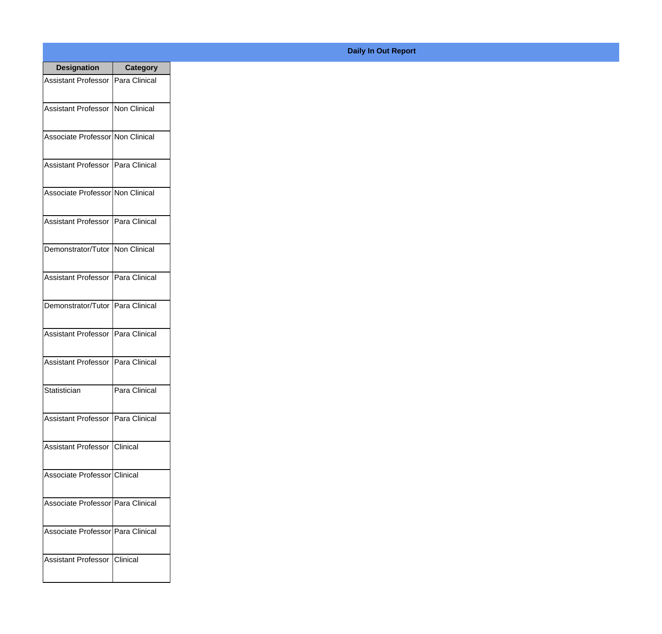| <b>Designation</b>                  | <b>Category</b> |
|-------------------------------------|-----------------|
| Assistant Professor   Para Clinical |                 |
| Assistant Professor   Non Clinical  |                 |
| Associate Professor Non Clinical    |                 |
| <b>Assistant Professor</b>          | Para Clinical   |
| Associate Professor Non Clinical    |                 |
| Assistant Professor   Para Clinical |                 |
| Demonstrator/Tutor   Non Clinical   |                 |
| Assistant Professor   Para Clinical |                 |
| Demonstrator/Tutor                  | Para Clinical   |
| <b>Assistant Professor</b>          | Para Clinical   |
| <b>Assistant Professor</b>          | Para Clinical   |
| Statistician                        | Para Clinical   |
| Assistant Professor   Para Clinical |                 |
| Assistant Professor   Clinical      |                 |
| Associate Professor Clinical        |                 |
| Associate Professor   Para Clinical |                 |
| Associate Professor   Para Clinical |                 |
| Assistant Professor   Clinical      |                 |

## **Daily In Out Report**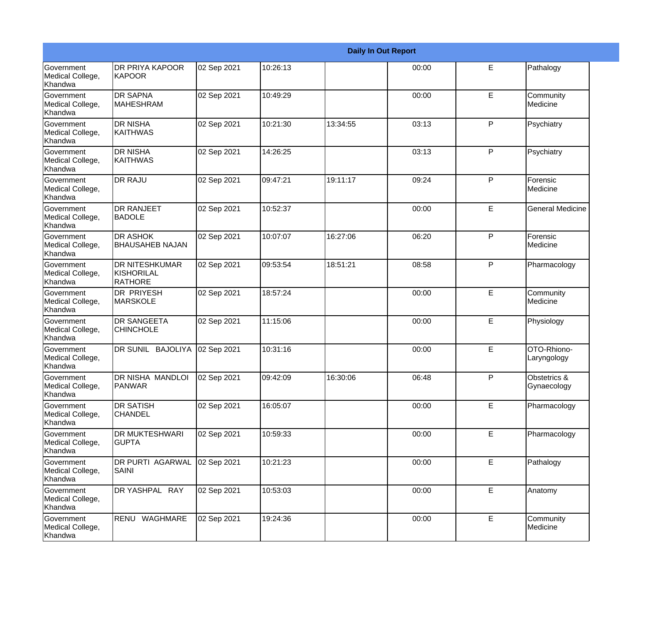|                                                  |                                                       |             |          |          | <b>Daily In Out Report</b> |              |                             |
|--------------------------------------------------|-------------------------------------------------------|-------------|----------|----------|----------------------------|--------------|-----------------------------|
| <b>Government</b><br>Medical College,<br>Khandwa | DR PRIYA KAPOOR<br><b>KAPOOR</b>                      | 02 Sep 2021 | 10:26:13 |          | 00:00                      | E            | Pathalogy                   |
| Government<br>Medical College,<br>Khandwa        | <b>DR SAPNA</b><br><b>MAHESHRAM</b>                   | 02 Sep 2021 | 10:49:29 |          | 00:00                      | E            | Community<br>Medicine       |
| Government<br>Medical College,<br>Khandwa        | <b>DR NISHA</b><br><b>KAITHWAS</b>                    | 02 Sep 2021 | 10:21:30 | 13:34:55 | 03:13                      | P            | Psychiatry                  |
| Government<br>Medical College,<br>Khandwa        | <b>DR NISHA</b><br><b>KAITHWAS</b>                    | 02 Sep 2021 | 14:26:25 |          | 03:13                      | $\mathsf{P}$ | Psychiatry                  |
| <b>Government</b><br>Medical College,<br>Khandwa | <b>DR RAJU</b>                                        | 02 Sep 2021 | 09:47:21 | 19:11:17 | 09:24                      | P            | Forensic<br>Medicine        |
| Government<br>Medical College,<br>Khandwa        | <b>DR RANJEET</b><br><b>BADOLE</b>                    | 02 Sep 2021 | 10:52:37 |          | 00:00                      | E            | <b>General Medicine</b>     |
| <b>Government</b><br>Medical College,<br>Khandwa | <b>DR ASHOK</b><br><b>BHAUSAHEB NAJAN</b>             | 02 Sep 2021 | 10:07:07 | 16:27:06 | 06:20                      | P            | Forensic<br>Medicine        |
| Government<br>Medical College,<br>Khandwa        | <b>DR NITESHKUMAR</b><br>KISHORILAL<br><b>RATHORE</b> | 02 Sep 2021 | 09:53:54 | 18:51:21 | 08:58                      | $\mathsf{P}$ | Pharmacology                |
| <b>Government</b><br>Medical College,<br>Khandwa | <b>DR PRIYESH</b><br><b>MARSKOLE</b>                  | 02 Sep 2021 | 18:57:24 |          | 00:00                      | E            | Community<br>Medicine       |
| <b>Government</b><br>Medical College,<br>Khandwa | <b>DR SANGEETA</b><br><b>CHINCHOLE</b>                | 02 Sep 2021 | 11:15:06 |          | 00:00                      | E            | Physiology                  |
| <b>Government</b><br>Medical College,<br>Khandwa | DR SUNIL BAJOLIYA                                     | 02 Sep 2021 | 10:31:16 |          | 00:00                      | E            | OTO-Rhiono-<br>Laryngology  |
| Government<br>Medical College,<br>Khandwa        | <b>DR NISHA MANDLOI</b><br>PANWAR                     | 02 Sep 2021 | 09:42:09 | 16:30:06 | 06:48                      | P            | Obstetrics &<br>Gynaecology |
| Government<br>Medical College,<br>Khandwa        | <b>DR SATISH</b><br><b>CHANDEL</b>                    | 02 Sep 2021 | 16:05:07 |          | 00:00                      | E            | Pharmacology                |
| Government<br>Medical College,<br>Khandwa        | DR MUKTESHWARI<br><b>GUPTA</b>                        | 02 Sep 2021 | 10:59:33 |          | 00:00                      | E            | Pharmacology                |
| Government<br>Medical College,<br>Khandwa        | DR PURTI AGARWAL<br><b>SAINI</b>                      | 02 Sep 2021 | 10:21:23 |          | 00:00                      | E            | Pathalogy                   |
| Government<br>Medical College,<br>Khandwa        | DR YASHPAL RAY                                        | 02 Sep 2021 | 10:53:03 |          | 00:00                      | E            | Anatomy                     |
| Government<br>Medical College,<br>Khandwa        | RENU WAGHMARE                                         | 02 Sep 2021 | 19:24:36 |          | 00:00                      | $\mathsf E$  | Community<br>Medicine       |